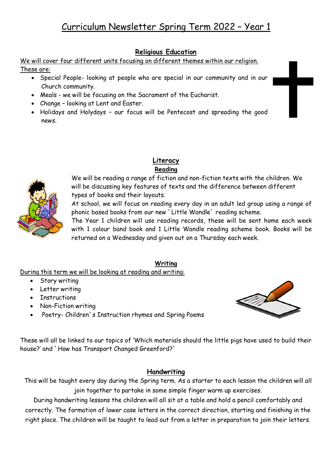# **Religious Education**

We will cover four different units focusing on different themes within our religion.

## These are:

- Special People- looking at people who are special in our community and in our Church community.
- Meals we will be focusing on the Sacrament of the Eucharist.
- Change looking at Lent and Easter.
- Holidays and Holydays our focus will be Pentecost and spreading the good news.



We will be reading a range of fiction and non-fiction texts with the children. We will be discussing key features of texts and the difference between different types of books and their layouts.

At school, we will focus on reading every day in an adult led group using a range of phonic based books from our new `Little Wandle` reading scheme.

The Year 1 children will use reading records, these will be sent home each week with 1 colour band book and 1 Little Wandle reading scheme book. Books will be returned on a Wednesday and given out on a Thursday each week.

## **Writing**

During this term we will be looking at reading and writing:

- Story writing
- Letter writing
- Instructions
- Non-Fiction writing
- Poetry- Children`s Instruction rhymes and Spring Poems



These will all be linked to our topics of 'Which materials should the little pigs have used to build their house?' and `How has Transport Changed Greenford?`

## **Handwriting**

This will be taught every day during the Spring term. As a starter to each lesson the children will all join together to partake in some simple finger warm up exercises.

During handwriting lessons the children will all sit at a table and hold a pencil comfortably and correctly. The formation of lower case letters in the correct direction, starting and finishing in the right place. The children will be taught to lead out from a letter in preparation to join their letters.

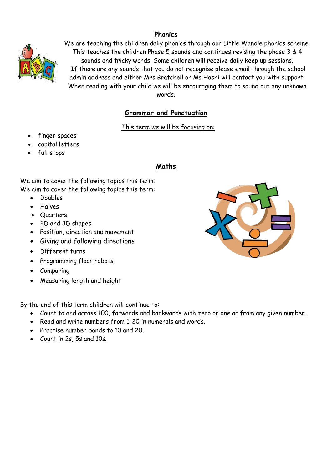# **Phonics**



We are teaching the children daily phonics through our Little Wandle phonics scheme. This teaches the children Phase 5 sounds and continues revising the phase 3 & 4 sounds and tricky words. Some children will receive daily keep up sessions. If there are any sounds that you do not recognise please email through the school admin address and either Mrs Bratchell or Ms Hashi will contact you with support. When reading with your child we will be encouraging them to sound out any unknown words.

# **Grammar and Punctuation**

#### This term we will be focusing on:

- finger spaces
- capital letters
- full stops

## **Maths**

We aim to cover the following topics this term:

We aim to cover the following topics this term:

- Doubles
- Halves
- Quarters
- 2D and 3D shapes
- Position, direction and movement
- Giving and following directions
- Different turns
- Programming floor robots
- Comparing
- Measuring length and height

By the end of this term children will continue to:

- Count to and across 100, forwards and backwards with zero or one or from any given number.
- Read and write numbers from 1-20 in numerals and words.
- Practise number bonds to 10 and 20.
- Count in 2s, 5s and 10s.

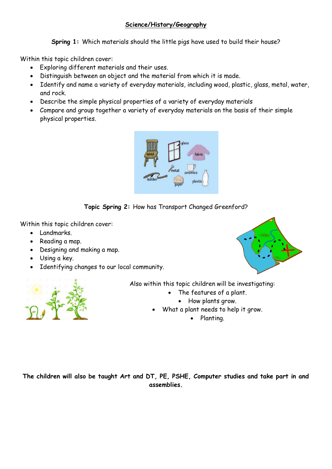## **Science/History/Geography**

**Spring 1:** Which materials should the little pigs have used to build their house?

Within this topic children cover:

- Exploring different materials and their uses.
- Distinguish between an object and the material from which it is made.
- Identify and name a variety of everyday materials, including wood, plastic, glass, metal, water, and rock.
- Describe the simple physical properties of a variety of everyday materials
- Compare and group together a variety of everyday materials on the basis of their simple physical properties.





Within this topic children cover:

- Landmarks.
- Reading a map.
- Designing and making a map.
- Using a key.
- Identifying changes to our local community.





Also within this topic children will be investigating:

- The features of a plant.
	- How plants grow.
- What a plant needs to help it grow.
	- Planting.

**The children will also be taught Art and DT, PE, PSHE, Computer studies and take part in and assemblies.**